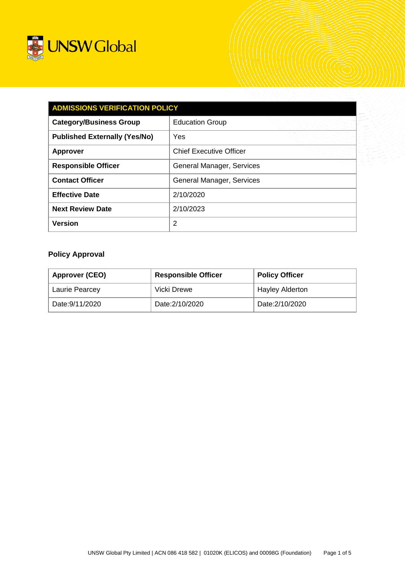

| <b>ADMISSIONS VERIFICATION POLICY</b> |                                |  |  |
|---------------------------------------|--------------------------------|--|--|
| <b>Category/Business Group</b>        | <b>Education Group</b>         |  |  |
| <b>Published Externally (Yes/No)</b>  | Yes                            |  |  |
| <b>Approver</b>                       | <b>Chief Executive Officer</b> |  |  |
| <b>Responsible Officer</b>            | General Manager, Services      |  |  |
| <b>Contact Officer</b>                | General Manager, Services      |  |  |
| <b>Effective Date</b>                 | 2/10/2020                      |  |  |
| <b>Next Review Date</b>               | 2/10/2023                      |  |  |
| <b>Version</b>                        | $\overline{2}$                 |  |  |

# **Policy Approval**

| Approver (CEO)  | <b>Responsible Officer</b> | <b>Policy Officer</b>  |
|-----------------|----------------------------|------------------------|
| Laurie Pearcey  | Vicki Drewe                | <b>Hayley Alderton</b> |
| Date: 9/11/2020 | Date: 2/10/2020            | Date: 2/10/2020        |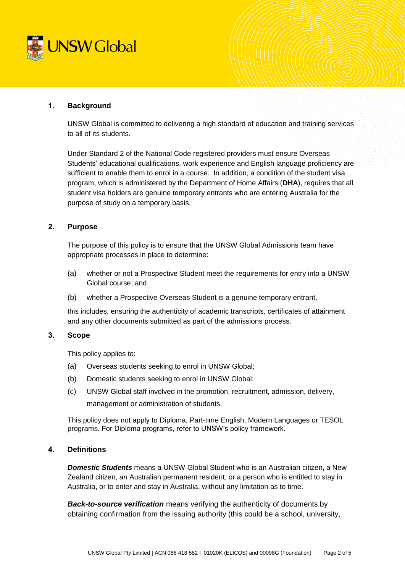

# **1. Background**

UNSW Global is committed to delivering a high standard of education and training services to all of its students.

Under Standard 2 of the National Code registered providers must ensure Overseas Students' educational qualifications, work experience and English language proficiency are sufficient to enable them to enrol in a course. In addition, a condition of the student visa program, which is administered by the Department of Home Affairs (**DHA**), requires that all student visa holders are genuine temporary entrants who are entering Australia for the purpose of study on a temporary basis.

# **2. Purpose**

The purpose of this policy is to ensure that the UNSW Global Admissions team have appropriate processes in place to determine:

- (a) whether or not a Prospective Student meet the requirements for entry into a UNSW Global course; and
- (b) whether a Prospective Overseas Student is a genuine temporary entrant,

this includes, ensuring the authenticity of academic transcripts, certificates of attainment and any other documents submitted as part of the admissions process.

#### **3. Scope**

This policy applies to:

- (a) Overseas students seeking to enrol in UNSW Global;
- (b) Domestic students seeking to enrol in UNSW Global;
- (c) UNSW Global staff involved in the promotion, recruitment, admission, delivery,

management or administration of students.

This policy does not apply to Diploma, Part-time English, Modern Languages or TESOL programs. For Diploma programs, refer to UNSW's policy framework.

#### **4. Definitions**

*Domestic Students* means a UNSW Global Student who is an Australian citizen, a New Zealand citizen, *an* Australian permanent resident, or a person who is entitled to stay in Australia, or to enter and stay in Australia, without any limitation as to time.

*Back-to-source verification* means verifying the authenticity of documents by obtaining confirmation from the issuing authority (this could be a school, university,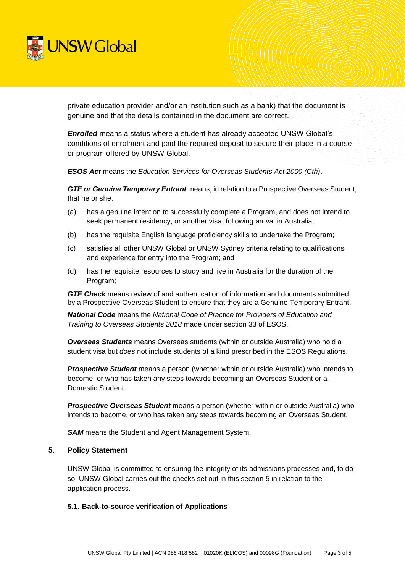

private education provider and/or an institution such as a bank) that the document is genuine and that the details contained in the document are correct.

*Enrolled* means a status where a student has already accepted UNSW Global's conditions of enrolment and paid the required deposit to secure their place in a course or program offered by UNSW Global.

*ESOS Act* means the *Education Services for Overseas Students Act 2000 (Cth)*.

*GTE or Genuine Temporary Entrant* means, in relation to a Prospective Overseas Student, that he or she:

- (a) has a genuine intention to successfully complete a Program, and does not intend to seek permanent residency, or another visa, following arrival in Australia;
- (b) has the requisite English language proficiency skills to undertake the Program;
- (c) satisfies all other UNSW Global or UNSW Sydney criteria relating to qualifications and experience for entry into the Program; and
- (d) has the requisite resources to study and live in Australia for the duration of the Program;

*GTE Check* means review of and authentication of information and documents submitted by a Prospective Overseas Student to ensure that they are a Genuine Temporary Entrant.

*National Code* means the *National Code of Practice for Providers of Education and Training to Overseas Students 2018* made under section 33 of ESOS.

*Overseas Students* means Overseas students (within or outside Australia) who hold a student visa but *does* not include students of a kind prescribed in the ESOS Regulations.

*Prospective Student* means a person (whether within or outside Australia) who intends to become, or who has taken any steps towards becoming an Overseas Student or a Domestic Student.

*Prospective Overseas Student* means a person (whether within or outside Australia) who intends to become, or who has taken any steps towards becoming an Overseas Student.

*SAM* means the Student and Agent Management System.

#### <span id="page-2-0"></span>**5. Policy Statement**

UNSW Global is committed to ensuring the integrity of its admissions processes and, to do so, UNSW Global carries out the checks set out in this section [5](#page-2-0) in relation to the application process.

#### <span id="page-2-1"></span>**5.1. Back-to-source verification of Applications**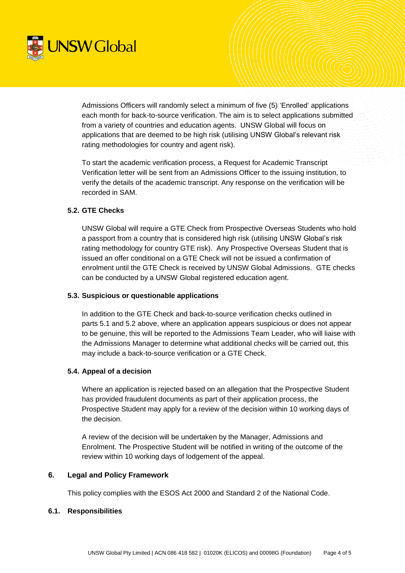

Admissions Officers will randomly select a minimum of five (5) 'Enrolled' applications each month for back-to-source verification. The aim is to select applications submitted from a variety of countries and education agents. UNSW Global will focus on applications that are deemed to be high risk (utilising UNSW Global's relevant risk rating methodologies for country and agent risk).

To start the academic verification process, a Request for Academic Transcript Verification letter will be sent from an Admissions Officer to the issuing institution, to verify the details of the academic transcript. Any response on the verification will be recorded in SAM.

## <span id="page-3-0"></span>**5.2. GTE Checks**

UNSW Global will require a GTE Check from Prospective Overseas Students who hold a passport from a country that is considered high risk (utilising UNSW Global's risk rating methodology for country GTE risk). Any Prospective Overseas Student that is issued an offer conditional on a GTE Check will not be issued a confirmation of enrolment until the GTE Check is received by UNSW Global Admissions. GTE checks can be conducted by a UNSW Global registered education agent.

#### **5.3. Suspicious or questionable applications**

In addition to the GTE Check and back-to-source verification checks outlined in parts [5.1](#page-2-1) and [5.2](#page-3-0) above, where an application appears suspicious or does not appear to be genuine, this will be reported to the Admissions Team Leader, who will liaise with the Admissions Manager to determine what additional checks will be carried out, this may include a back-to-source verification or a GTE Check.

#### **5.4. Appeal of a decision**

Where an application is rejected based on an allegation that the Prospective Student has provided fraudulent documents as part of their application process, the Prospective Student may apply for a review of the decision within 10 working days of the decision.

A review of the decision will be undertaken by the Manager, Admissions and Enrolment. The Prospective Student will be notified in writing of the outcome of the review within 10 working days of lodgement of the appeal.

#### **6. Legal and Policy Framework**

This policy complies with the ESOS Act 2000 and Standard 2 of the National Code.

#### **6.1. Responsibilities**